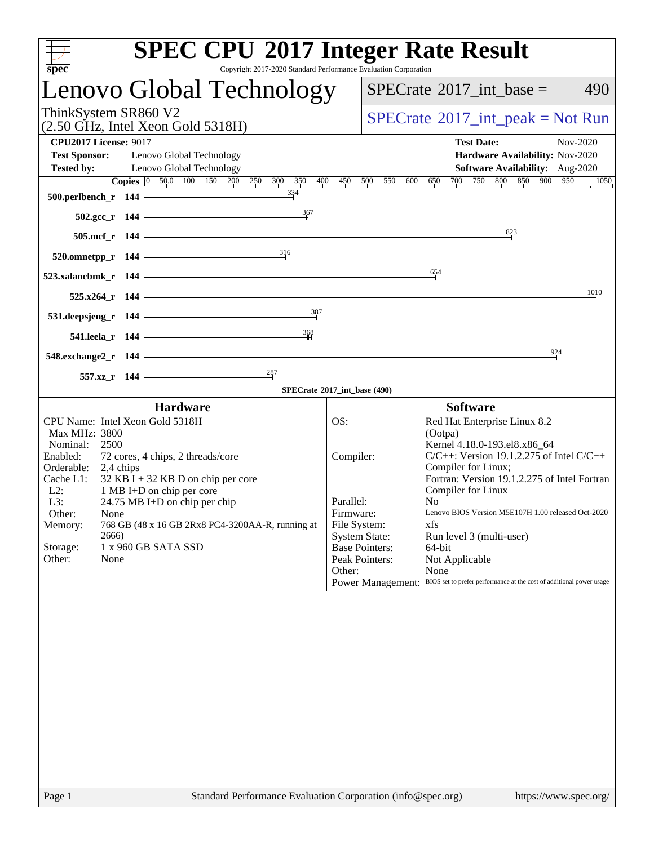| Copyright 2017-2020 Standard Performance Evaluation Corporation<br>spec <sup>®</sup><br>Lenovo Global Technology<br>$SPECrate^{\circledast}2017\_int\_base =$<br>ThinkSystem SR860 V2<br>$SPECTate^{\circ}2017\_int\_peak = Not Run$<br>$(2.50 \text{ GHz}, \text{Intel Xeon Gold } 5318\text{H})$<br><b>CPU2017 License: 9017</b><br><b>Test Date:</b><br><b>Test Sponsor:</b><br>Lenovo Global Technology<br><b>Tested by:</b><br>Lenovo Global Technology<br>Copies 0 50.0 100 150 200 250 300<br>350<br>400<br>450<br>500<br>550<br>600<br>700<br>650<br>334<br>500.perlbench_r 144<br>367<br>502.gcc_r 144<br>505.mcf_r 144<br>316<br>520.omnetpp_r 144                                                                                                                                                                                                                              | 490<br>Nov-2020<br>Hardware Availability: Nov-2020<br>Software Availability: Aug-2020<br>750 800 850 900<br>950<br>1050                             |
|-------------------------------------------------------------------------------------------------------------------------------------------------------------------------------------------------------------------------------------------------------------------------------------------------------------------------------------------------------------------------------------------------------------------------------------------------------------------------------------------------------------------------------------------------------------------------------------------------------------------------------------------------------------------------------------------------------------------------------------------------------------------------------------------------------------------------------------------------------------------------------------------|-----------------------------------------------------------------------------------------------------------------------------------------------------|
|                                                                                                                                                                                                                                                                                                                                                                                                                                                                                                                                                                                                                                                                                                                                                                                                                                                                                           |                                                                                                                                                     |
|                                                                                                                                                                                                                                                                                                                                                                                                                                                                                                                                                                                                                                                                                                                                                                                                                                                                                           |                                                                                                                                                     |
|                                                                                                                                                                                                                                                                                                                                                                                                                                                                                                                                                                                                                                                                                                                                                                                                                                                                                           |                                                                                                                                                     |
|                                                                                                                                                                                                                                                                                                                                                                                                                                                                                                                                                                                                                                                                                                                                                                                                                                                                                           |                                                                                                                                                     |
|                                                                                                                                                                                                                                                                                                                                                                                                                                                                                                                                                                                                                                                                                                                                                                                                                                                                                           | 823                                                                                                                                                 |
| 654<br>523.xalancbmk_r 144<br>525.x264_r 144<br>387<br>531.deepsjeng_r 144                                                                                                                                                                                                                                                                                                                                                                                                                                                                                                                                                                                                                                                                                                                                                                                                                | 1010                                                                                                                                                |
| 368<br>541.leela_r 144<br>548.exchange2_r 144<br>557.xz_r 144<br>SPECrate®2017_int_base (490)                                                                                                                                                                                                                                                                                                                                                                                                                                                                                                                                                                                                                                                                                                                                                                                             | 924                                                                                                                                                 |
| <b>Hardware</b><br><b>Software</b>                                                                                                                                                                                                                                                                                                                                                                                                                                                                                                                                                                                                                                                                                                                                                                                                                                                        |                                                                                                                                                     |
| CPU Name: Intel Xeon Gold 5318H<br>OS:<br>Red Hat Enterprise Linux 8.2<br>Max MHz: 3800<br>(Ootpa)<br>Kernel 4.18.0-193.el8.x86_64<br>Nominal:<br>2500<br>Enabled:<br>72 cores, 4 chips, 2 threads/core<br>Compiler:<br>Compiler for Linux;<br>Orderable:<br>2,4 chips<br>Cache L1:<br>$32$ KB I + 32 KB D on chip per core<br>Compiler for Linux<br>$L2$ :<br>1 MB I+D on chip per core<br>Parallel:<br>N <sub>0</sub><br>L3:<br>24.75 MB I+D on chip per chip<br>Firmware:<br>Other:<br>None<br>File System:<br>768 GB (48 x 16 GB 2Rx8 PC4-3200AA-R, running at<br>xfs<br>Memory:<br><b>System State:</b><br>2666)<br>Run level 3 (multi-user)<br>1 x 960 GB SATA SSD<br><b>Base Pointers:</b><br>Storage:<br>64-bit<br>Other:<br>Peak Pointers:<br>None<br>Not Applicable<br>None<br>Other:<br>Power Management: BIOS set to prefer performance at the cost of additional power usage | $C/C++$ : Version 19.1.2.275 of Intel $C/C++$<br>Fortran: Version 19.1.2.275 of Intel Fortran<br>Lenovo BIOS Version M5E107H 1.00 released Oct-2020 |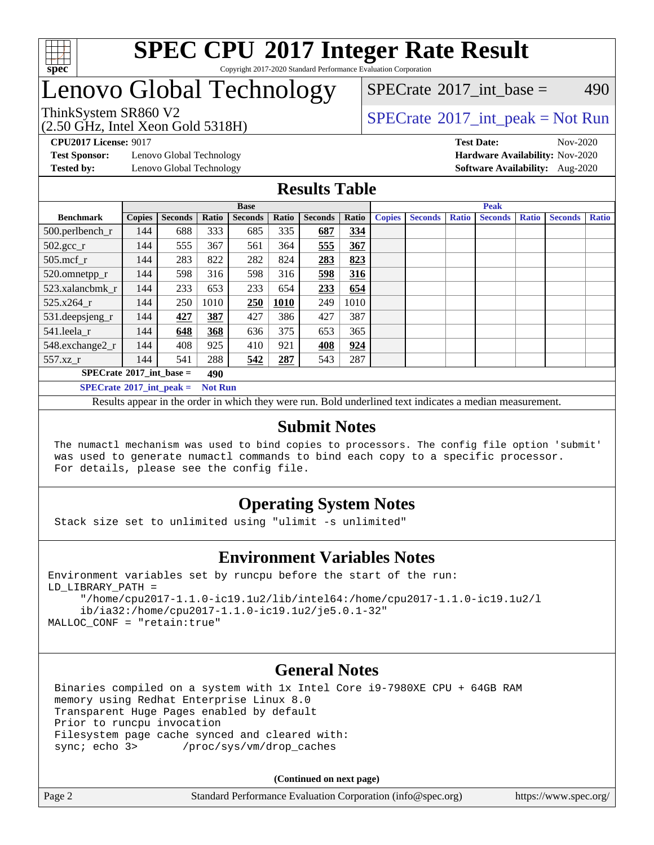

#### **[SPEC CPU](http://www.spec.org/auto/cpu2017/Docs/result-fields.html#SPECCPU2017IntegerRateResult)[2017 Integer Rate Result](http://www.spec.org/auto/cpu2017/Docs/result-fields.html#SPECCPU2017IntegerRateResult)** Copyright 2017-2020 Standard Performance Evaluation Corporation

### Lenovo Global Technology

[SPECrate](http://www.spec.org/auto/cpu2017/Docs/result-fields.html#SPECrate2017intbase)<sup>®</sup>2017 int base = 490

(2.50 GHz, Intel Xeon Gold 5318H)

**[CPU2017 License:](http://www.spec.org/auto/cpu2017/Docs/result-fields.html#CPU2017License)** 9017 **[Test Date:](http://www.spec.org/auto/cpu2017/Docs/result-fields.html#TestDate)** Nov-2020

**[Test Sponsor:](http://www.spec.org/auto/cpu2017/Docs/result-fields.html#TestSponsor)** Lenovo Global Technology **[Hardware Availability:](http://www.spec.org/auto/cpu2017/Docs/result-fields.html#HardwareAvailability)** Nov-2020

ThinkSystem SR860 V2<br>  $\begin{array}{c} \text{SPECTI}_{\text{S}} \text{I}_{\text{S}} \text{S}^2 \text{I}_{\text{S}} \text{S}^2 \text{I}_{\text{S}} \text{S}^2 \text{I}_{\text{S}} \text{S}^2 \text{I}_{\text{S}} \text{S}^2 \text{I}_{\text{S}} \text{S}^2 \text{I}_{\text{S}} \text{S}^2 \text{I}_{\text{S}} \text{S}^2 \text{I}_{\text{S}} \text{S}^2 \text{I}_{\text{S}} \text{S}^2 \text{I}_{\text{S$ 

**[Tested by:](http://www.spec.org/auto/cpu2017/Docs/result-fields.html#Testedby)** Lenovo Global Technology **[Software Availability:](http://www.spec.org/auto/cpu2017/Docs/result-fields.html#SoftwareAvailability)** Aug-2020

#### **[Results Table](http://www.spec.org/auto/cpu2017/Docs/result-fields.html#ResultsTable)**

|                                   |               |                |                | <b>Base</b>    |       |                | <b>Peak</b> |               |                |              |                |              |                |              |
|-----------------------------------|---------------|----------------|----------------|----------------|-------|----------------|-------------|---------------|----------------|--------------|----------------|--------------|----------------|--------------|
| <b>Benchmark</b>                  | <b>Copies</b> | <b>Seconds</b> | Ratio          | <b>Seconds</b> | Ratio | <b>Seconds</b> | Ratio       | <b>Copies</b> | <b>Seconds</b> | <b>Ratio</b> | <b>Seconds</b> | <b>Ratio</b> | <b>Seconds</b> | <b>Ratio</b> |
| 500.perlbench_r                   | 144           | 688            | 333            | 685            | 335   | 687            | 334         |               |                |              |                |              |                |              |
| $502.\text{gcc}_r$                | 144           | 555            | 367            | 561            | 364   | 555            | 367         |               |                |              |                |              |                |              |
| $505$ .mcf r                      | 144           | 283            | 822            | 282            | 824   | 283            | 823         |               |                |              |                |              |                |              |
| 520.omnetpp_r                     | 144           | 598            | 316            | 598            | 316   | 598            | 316         |               |                |              |                |              |                |              |
| 523.xalancbmk r                   | 144           | 233            | 653            | 233            | 654   | 233            | 654         |               |                |              |                |              |                |              |
| 525.x264 r                        | 144           | 250            | 1010           | 250            | 1010  | 249            | 1010        |               |                |              |                |              |                |              |
| 531.deepsjeng_r                   | 144           | 427            | 387            | 427            | 386   | 427            | 387         |               |                |              |                |              |                |              |
| 541.leela r                       | 144           | 648            | 368            | 636            | 375   | 653            | 365         |               |                |              |                |              |                |              |
| 548.exchange2_r                   | 144           | 408            | 925            | 410            | 921   | 408            | 924         |               |                |              |                |              |                |              |
| 557.xz r                          | 144           | 541            | 288            | 542            | 287   | 543            | 287         |               |                |              |                |              |                |              |
| $SPECrate^{\circ}2017$ int base = |               | 490            |                |                |       |                |             |               |                |              |                |              |                |              |
| $SPECrate^{\circ}2017$ int peak = |               |                | <b>Not Run</b> |                |       |                |             |               |                |              |                |              |                |              |

Results appear in the [order in which they were run](http://www.spec.org/auto/cpu2017/Docs/result-fields.html#RunOrder). Bold underlined text [indicates a median measurement](http://www.spec.org/auto/cpu2017/Docs/result-fields.html#Median).

#### **[Submit Notes](http://www.spec.org/auto/cpu2017/Docs/result-fields.html#SubmitNotes)**

 The numactl mechanism was used to bind copies to processors. The config file option 'submit' was used to generate numactl commands to bind each copy to a specific processor. For details, please see the config file.

### **[Operating System Notes](http://www.spec.org/auto/cpu2017/Docs/result-fields.html#OperatingSystemNotes)**

Stack size set to unlimited using "ulimit -s unlimited"

#### **[Environment Variables Notes](http://www.spec.org/auto/cpu2017/Docs/result-fields.html#EnvironmentVariablesNotes)**

```
Environment variables set by runcpu before the start of the run:
LD_LIBRARY_PATH =
      "/home/cpu2017-1.1.0-ic19.1u2/lib/intel64:/home/cpu2017-1.1.0-ic19.1u2/l
      ib/ia32:/home/cpu2017-1.1.0-ic19.1u2/je5.0.1-32"
MALLOC_CONF = "retain:true"
```
#### **[General Notes](http://www.spec.org/auto/cpu2017/Docs/result-fields.html#GeneralNotes)**

 Binaries compiled on a system with 1x Intel Core i9-7980XE CPU + 64GB RAM memory using Redhat Enterprise Linux 8.0 Transparent Huge Pages enabled by default Prior to runcpu invocation Filesystem page cache synced and cleared with: sync; echo 3> /proc/sys/vm/drop\_caches

**(Continued on next page)**

| Page 2 | Standard Performance Evaluation Corporation (info@spec.org) | https://www.spec.org/ |
|--------|-------------------------------------------------------------|-----------------------|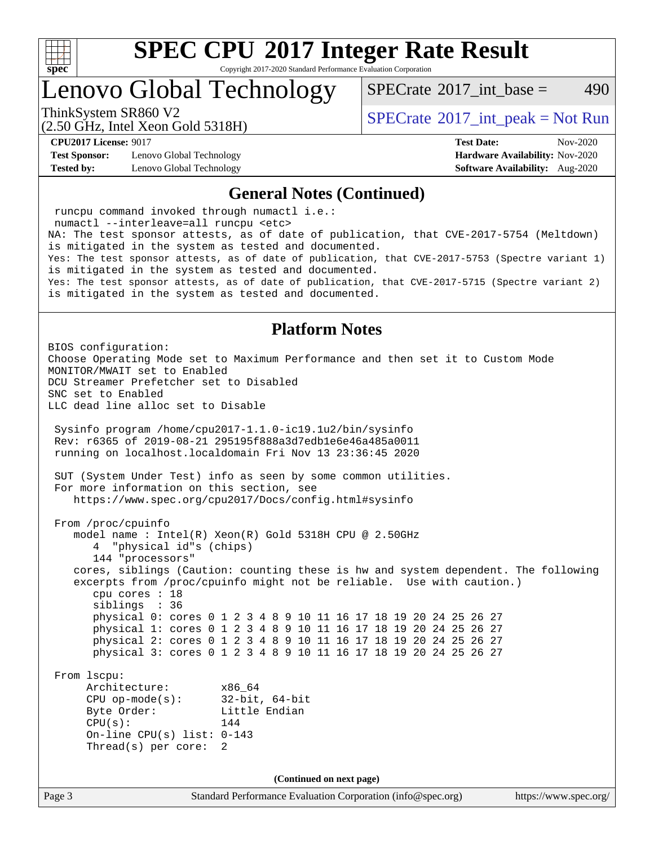

Copyright 2017-2020 Standard Performance Evaluation Corporation

Lenovo Global Technology

[SPECrate](http://www.spec.org/auto/cpu2017/Docs/result-fields.html#SPECrate2017intbase)<sup>®</sup>2017 int base = 490

(2.50 GHz, Intel Xeon Gold 5318H)

ThinkSystem SR860 V2<br>  $\begin{array}{c} \text{SPECTI}_{\text{S}} \text{I}_{\text{S}} \text{S}^2 \text{I}_{\text{S}} \text{S}^2 \text{I}_{\text{S}} \text{S}^2 \text{I}_{\text{S}} \text{S}^2 \text{I}_{\text{S}} \text{S}^2 \text{I}_{\text{S}} \text{S}^2 \text{I}_{\text{S}} \text{S}^2 \text{I}_{\text{S}} \text{S}^2 \text{I}_{\text{S}} \text{S}^2 \text{I}_{\text{S}} \text{S}^2 \text{I}_{\text{S$ 

**[Test Sponsor:](http://www.spec.org/auto/cpu2017/Docs/result-fields.html#TestSponsor)** Lenovo Global Technology **[Hardware Availability:](http://www.spec.org/auto/cpu2017/Docs/result-fields.html#HardwareAvailability)** Nov-2020 **[Tested by:](http://www.spec.org/auto/cpu2017/Docs/result-fields.html#Testedby)** Lenovo Global Technology **[Software Availability:](http://www.spec.org/auto/cpu2017/Docs/result-fields.html#SoftwareAvailability)** Aug-2020

**[CPU2017 License:](http://www.spec.org/auto/cpu2017/Docs/result-fields.html#CPU2017License)** 9017 **[Test Date:](http://www.spec.org/auto/cpu2017/Docs/result-fields.html#TestDate)** Nov-2020

#### **[General Notes \(Continued\)](http://www.spec.org/auto/cpu2017/Docs/result-fields.html#GeneralNotes)**

Page 3 Standard Performance Evaluation Corporation [\(info@spec.org\)](mailto:info@spec.org) <https://www.spec.org/> runcpu command invoked through numactl i.e.: numactl --interleave=all runcpu <etc> NA: The test sponsor attests, as of date of publication, that CVE-2017-5754 (Meltdown) is mitigated in the system as tested and documented. Yes: The test sponsor attests, as of date of publication, that CVE-2017-5753 (Spectre variant 1) is mitigated in the system as tested and documented. Yes: The test sponsor attests, as of date of publication, that CVE-2017-5715 (Spectre variant 2) is mitigated in the system as tested and documented. **[Platform Notes](http://www.spec.org/auto/cpu2017/Docs/result-fields.html#PlatformNotes)** BIOS configuration: Choose Operating Mode set to Maximum Performance and then set it to Custom Mode MONITOR/MWAIT set to Enabled DCU Streamer Prefetcher set to Disabled SNC set to Enabled LLC dead line alloc set to Disable Sysinfo program /home/cpu2017-1.1.0-ic19.1u2/bin/sysinfo Rev: r6365 of 2019-08-21 295195f888a3d7edb1e6e46a485a0011 running on localhost.localdomain Fri Nov 13 23:36:45 2020 SUT (System Under Test) info as seen by some common utilities. For more information on this section, see <https://www.spec.org/cpu2017/Docs/config.html#sysinfo> From /proc/cpuinfo model name : Intel(R) Xeon(R) Gold 5318H CPU @ 2.50GHz 4 "physical id"s (chips) 144 "processors" cores, siblings (Caution: counting these is hw and system dependent. The following excerpts from /proc/cpuinfo might not be reliable. Use with caution.) cpu cores : 18 siblings : 36 physical 0: cores 0 1 2 3 4 8 9 10 11 16 17 18 19 20 24 25 26 27 physical 1: cores 0 1 2 3 4 8 9 10 11 16 17 18 19 20 24 25 26 27 physical 2: cores 0 1 2 3 4 8 9 10 11 16 17 18 19 20 24 25 26 27 physical 3: cores 0 1 2 3 4 8 9 10 11 16 17 18 19 20 24 25 26 27 From lscpu: Architecture: x86\_64 CPU op-mode(s): 32-bit, 64-bit Byte Order: Little Endian  $CPU(s):$  144 On-line CPU(s) list: 0-143 Thread(s) per core: 2 **(Continued on next page)**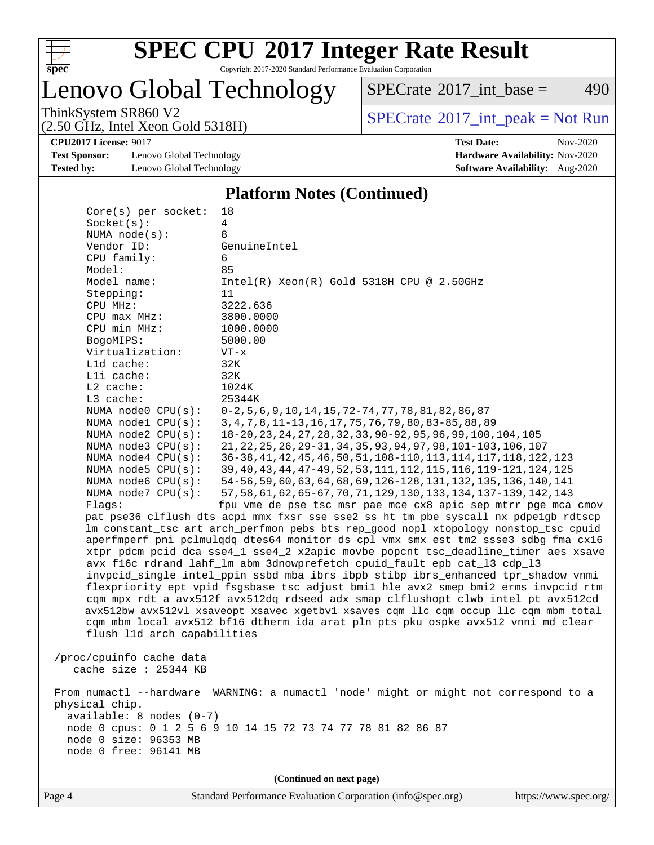

Copyright 2017-2020 Standard Performance Evaluation Corporation

### Lenovo Global Technology

 $SPECTate$ <sup>®</sup>[2017\\_int\\_base =](http://www.spec.org/auto/cpu2017/Docs/result-fields.html#SPECrate2017intbase) 490

(2.50 GHz, Intel Xeon Gold 5318H)

ThinkSystem SR860 V2<br>  $(2.50 \text{ GHz, Intel Yoon Gold } 5318 \text{H})$  [SPECrate](http://www.spec.org/auto/cpu2017/Docs/result-fields.html#SPECrate2017intpeak)®[2017\\_int\\_peak = N](http://www.spec.org/auto/cpu2017/Docs/result-fields.html#SPECrate2017intpeak)ot Run

**[CPU2017 License:](http://www.spec.org/auto/cpu2017/Docs/result-fields.html#CPU2017License)** 9017 **[Test Date:](http://www.spec.org/auto/cpu2017/Docs/result-fields.html#TestDate)** Nov-2020

**[Test Sponsor:](http://www.spec.org/auto/cpu2017/Docs/result-fields.html#TestSponsor)** Lenovo Global Technology **[Hardware Availability:](http://www.spec.org/auto/cpu2017/Docs/result-fields.html#HardwareAvailability)** Nov-2020 **[Tested by:](http://www.spec.org/auto/cpu2017/Docs/result-fields.html#Testedby)** Lenovo Global Technology **[Software Availability:](http://www.spec.org/auto/cpu2017/Docs/result-fields.html#SoftwareAvailability)** Aug-2020

### **[Platform Notes \(Continued\)](http://www.spec.org/auto/cpu2017/Docs/result-fields.html#PlatformNotes)**

| Core(s) per socket:           | 18                                                                                   |
|-------------------------------|--------------------------------------------------------------------------------------|
| Socket(s):                    | $\overline{4}$                                                                       |
| NUMA node(s):                 | 8                                                                                    |
| Vendor ID:                    | GenuineIntel                                                                         |
| CPU family:                   | 6                                                                                    |
| Model:                        | 85                                                                                   |
| Model name:                   | $Intel(R) Xeon(R) Gold 5318H CPU @ 2.50GHz$                                          |
| Stepping:                     | 11                                                                                   |
| CPU MHz:                      | 3222.636                                                                             |
| CPU max MHz:                  | 3800.0000                                                                            |
| CPU min MHz:                  | 1000.0000                                                                            |
| BogoMIPS:                     | 5000.00                                                                              |
| Virtualization:<br>L1d cache: | $VT - x$<br>32K                                                                      |
| Lli cache:                    | 32K                                                                                  |
| L2 cache:                     | 1024K                                                                                |
| L3 cache:                     | 25344K                                                                               |
| NUMA node0 CPU(s):            | $0-2, 5, 6, 9, 10, 14, 15, 72-74, 77, 78, 81, 82, 86, 87$                            |
| NUMA nodel CPU(s):            | 3, 4, 7, 8, 11-13, 16, 17, 75, 76, 79, 80, 83-85, 88, 89                             |
| NUMA node2 CPU(s):            | 18-20, 23, 24, 27, 28, 32, 33, 90-92, 95, 96, 99, 100, 104, 105                      |
| NUMA node3 CPU(s):            | 21, 22, 25, 26, 29-31, 34, 35, 93, 94, 97, 98, 101-103, 106, 107                     |
| NUMA $node4$ $CPU(s):$        | 36-38, 41, 42, 45, 46, 50, 51, 108-110, 113, 114, 117, 118, 122, 123                 |
| NUMA node5 $CPU(s):$          | 39, 40, 43, 44, 47-49, 52, 53, 111, 112, 115, 116, 119-121, 124, 125                 |
| NUMA node6 CPU(s):            | 54-56, 59, 60, 63, 64, 68, 69, 126-128, 131, 132, 135, 136, 140, 141                 |
| NUMA node7 CPU(s):            | 57, 58, 61, 62, 65-67, 70, 71, 129, 130, 133, 134, 137-139, 142, 143                 |
| Flags:                        | fpu vme de pse tsc msr pae mce cx8 apic sep mtrr pge mca cmov                        |
|                               | pat pse36 clflush dts acpi mmx fxsr sse sse2 ss ht tm pbe syscall nx pdpe1gb rdtscp  |
|                               | lm constant_tsc art arch_perfmon pebs bts rep_good nopl xtopology nonstop_tsc cpuid  |
|                               | aperfmperf pni pclmulqdq dtes64 monitor ds_cpl vmx smx est tm2 ssse3 sdbg fma cx16   |
|                               | xtpr pdcm pcid dca sse4_1 sse4_2 x2apic movbe popcnt tsc_deadline_timer aes xsave    |
|                               | avx f16c rdrand lahf_lm abm 3dnowprefetch cpuid_fault epb cat_13 cdp_13              |
|                               | invpcid_single intel_ppin ssbd mba ibrs ibpb stibp ibrs_enhanced tpr_shadow vnmi     |
|                               | flexpriority ept vpid fsgsbase tsc_adjust bmil hle avx2 smep bmi2 erms invpcid rtm   |
|                               | cqm mpx rdt_a avx512f avx512dq rdseed adx smap clflushopt clwb intel_pt avx512cd     |
|                               | avx512bw avx512vl xsaveopt xsavec xgetbvl xsaves cqm_llc cqm_occup_llc cqm_mbm_total |
|                               | cqm_mbm_local avx512_bf16 dtherm ida arat pln pts pku ospke avx512_vnni md_clear     |
| flush_l1d arch_capabilities   |                                                                                      |
| /proc/cpuinfo cache data      |                                                                                      |
| cache size $: 25344$ KB       |                                                                                      |
|                               |                                                                                      |
|                               | From numactl --hardware WARNING: a numactl 'node' might or might not correspond to a |
| physical chip.                |                                                                                      |
| available: 8 nodes (0-7)      |                                                                                      |
|                               | node 0 cpus: 0 1 2 5 6 9 10 14 15 72 73 74 77 78 81 82 86 87                         |
| node 0 size: 96353 MB         |                                                                                      |
| node 0 free: 96141 MB         |                                                                                      |
|                               |                                                                                      |
|                               | (Continued on next page)                                                             |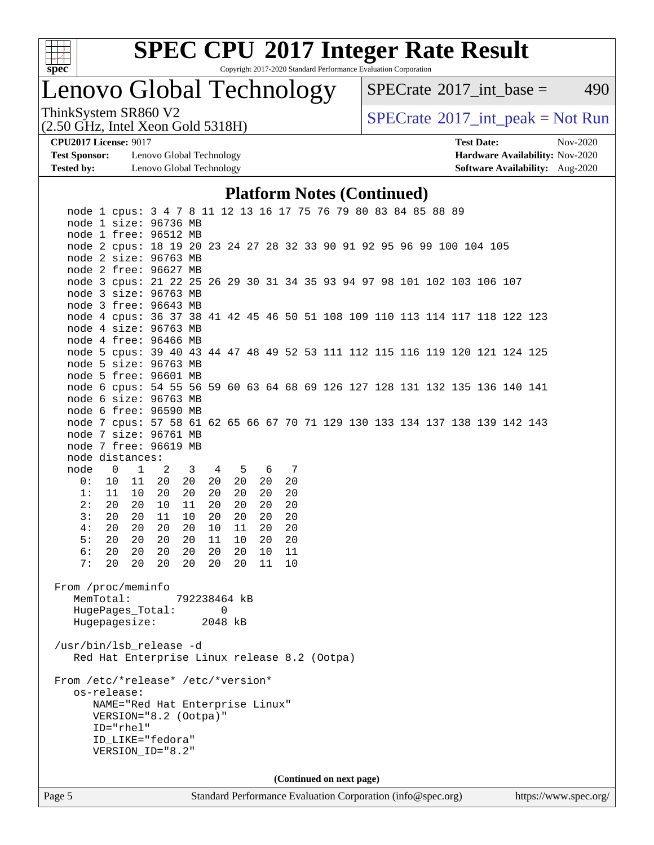

Copyright 2017-2020 Standard Performance Evaluation Corporation

## Lenovo Global Technology

 $SPECTate@2017_int\_base = 490$ 

(2.50 GHz, Intel Xeon Gold 5318H)

ThinkSystem SR860 V2<br>  $(2.50 \text{ GHz})$  Intel Xeon Gold 5318H)

**[Test Sponsor:](http://www.spec.org/auto/cpu2017/Docs/result-fields.html#TestSponsor)** Lenovo Global Technology **[Hardware Availability:](http://www.spec.org/auto/cpu2017/Docs/result-fields.html#HardwareAvailability)** Nov-2020 **[Tested by:](http://www.spec.org/auto/cpu2017/Docs/result-fields.html#Testedby)** Lenovo Global Technology **[Software Availability:](http://www.spec.org/auto/cpu2017/Docs/result-fields.html#SoftwareAvailability)** Aug-2020

**[CPU2017 License:](http://www.spec.org/auto/cpu2017/Docs/result-fields.html#CPU2017License)** 9017 **[Test Date:](http://www.spec.org/auto/cpu2017/Docs/result-fields.html#TestDate)** Nov-2020

#### **[Platform Notes \(Continued\)](http://www.spec.org/auto/cpu2017/Docs/result-fields.html#PlatformNotes)**

| Page 5                             |                          |                       |                                                                                                      |              |          |          |          |          |  | Standard Performance Evaluation Corporation (info@spec.org) |  |  |  | https://www.spec.org/ |  |
|------------------------------------|--------------------------|-----------------------|------------------------------------------------------------------------------------------------------|--------------|----------|----------|----------|----------|--|-------------------------------------------------------------|--|--|--|-----------------------|--|
|                                    |                          |                       |                                                                                                      |              |          |          |          |          |  | (Continued on next page)                                    |  |  |  |                       |  |
|                                    | os-release:<br>ID="rhel" |                       | NAME="Red Hat Enterprise Linux"<br>VERSION="8.2 (Ootpa)"<br>ID_LIKE="fedora"<br>VERSION_ID="8.2"     |              |          |          |          |          |  |                                                             |  |  |  |                       |  |
| From /etc/*release* /etc/*version* |                          |                       | Red Hat Enterprise Linux release 8.2 (Ootpa)                                                         |              |          |          |          |          |  |                                                             |  |  |  |                       |  |
| /usr/bin/lsb_release -d            |                          |                       |                                                                                                      |              |          |          |          |          |  |                                                             |  |  |  |                       |  |
|                                    |                          |                       | Hugepagesize: 2048 kB                                                                                |              |          |          |          |          |  |                                                             |  |  |  |                       |  |
| From /proc/meminfo                 | MemTotal:                |                       | HugePages_Total:                                                                                     | 792238464 kB |          | - 0      |          |          |  |                                                             |  |  |  |                       |  |
| 6:<br>7:                           | 20<br>20                 | 20<br>20              | 20<br>20                                                                                             | 20<br>20     | 20<br>20 | 20<br>20 | 10<br>11 | 11<br>10 |  |                                                             |  |  |  |                       |  |
| 4:<br>5:                           | 20<br>20                 | 20<br>20              | 20<br>20                                                                                             | 20<br>20     | 10<br>11 | 11<br>10 | 20<br>20 | 20<br>20 |  |                                                             |  |  |  |                       |  |
| 2:<br>3:                           | 20<br>20                 | 20<br>20              | 10<br>11                                                                                             | 11<br>10     | 20<br>20 | 20<br>20 | 20<br>20 | 20<br>20 |  |                                                             |  |  |  |                       |  |
| 0:<br>1:                           | 10<br>11                 | 11<br>10 <sub>1</sub> | 20<br>20                                                                                             | 20<br>20     | 20<br>20 | 20<br>20 | 20<br>20 | 20<br>20 |  |                                                             |  |  |  |                       |  |
| node                               | $\overline{0}$           | $\mathbf{1}$          |                                                                                                      | $2 \quad 3$  |          | 4 5 6 7  |          |          |  |                                                             |  |  |  |                       |  |
|                                    | node distances:          |                       |                                                                                                      |              |          |          |          |          |  |                                                             |  |  |  |                       |  |
|                                    |                          |                       | node 7 free: 96619 MB                                                                                |              |          |          |          |          |  |                                                             |  |  |  |                       |  |
|                                    |                          |                       | node 7 size: 96761 MB                                                                                |              |          |          |          |          |  |                                                             |  |  |  |                       |  |
|                                    |                          |                       | node 6 free: 96590 MB<br>node 7 cpus: 57 58 61 62 65 66 67 70 71 129 130 133 134 137 138 139 142 143 |              |          |          |          |          |  |                                                             |  |  |  |                       |  |
|                                    |                          |                       | node 6 size: 96763 MB                                                                                |              |          |          |          |          |  |                                                             |  |  |  |                       |  |
|                                    |                          |                       | node 6 cpus: 54 55 56 59 60 63 64 68 69 126 127 128 131 132 135 136 140 141                          |              |          |          |          |          |  |                                                             |  |  |  |                       |  |
|                                    |                          |                       | node 5 free: 96601 MB                                                                                |              |          |          |          |          |  |                                                             |  |  |  |                       |  |
|                                    |                          |                       | node 5 size: 96763 MB                                                                                |              |          |          |          |          |  |                                                             |  |  |  |                       |  |
|                                    |                          |                       | node 4 free: 96466 MB<br>node 5 cpus: 39 40 43 44 47 48 49 52 53 111 112 115 116 119 120 121 124 125 |              |          |          |          |          |  |                                                             |  |  |  |                       |  |
|                                    |                          |                       | node 4 size: 96763 MB                                                                                |              |          |          |          |          |  |                                                             |  |  |  |                       |  |
|                                    |                          |                       | node 4 cpus: 36 37 38 41 42 45 46 50 51 108 109 110 113 114 117 118 122 123                          |              |          |          |          |          |  |                                                             |  |  |  |                       |  |
|                                    |                          |                       | node 3 free: 96643 MB                                                                                |              |          |          |          |          |  |                                                             |  |  |  |                       |  |
|                                    |                          |                       | node 3 size: 96763 MB                                                                                |              |          |          |          |          |  |                                                             |  |  |  |                       |  |
|                                    |                          |                       | node 2 free: 96627 MB<br>node 3 cpus: 21 22 25 26 29 30 31 34 35 93 94 97 98 101 102 103 106 107     |              |          |          |          |          |  |                                                             |  |  |  |                       |  |
|                                    |                          |                       | node 2 size: 96763 MB                                                                                |              |          |          |          |          |  |                                                             |  |  |  |                       |  |
|                                    |                          |                       | node 2 cpus: 18 19 20 23 24 27 28 32 33 90 91 92 95 96 99 100 104 105                                |              |          |          |          |          |  |                                                             |  |  |  |                       |  |
|                                    |                          |                       | node 1 free: 96512 MB                                                                                |              |          |          |          |          |  |                                                             |  |  |  |                       |  |
|                                    |                          |                       | node 1 cpus: 3 4 7 8 11 12 13 16 17 75 76 79 80 83 84 85 88 89<br>node 1 size: 96736 MB              |              |          |          |          |          |  |                                                             |  |  |  |                       |  |
|                                    |                          |                       |                                                                                                      |              |          |          |          |          |  |                                                             |  |  |  |                       |  |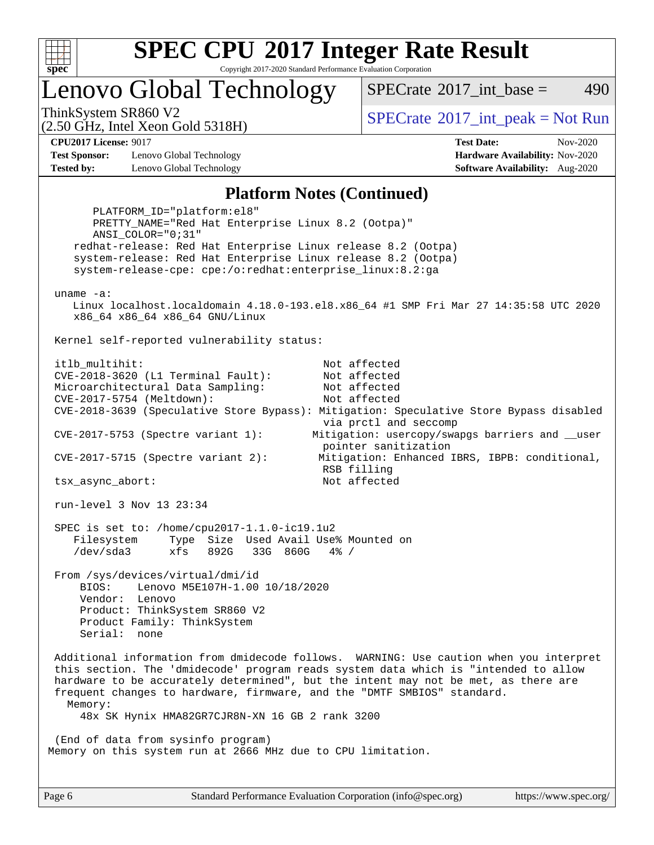

Copyright 2017-2020 Standard Performance Evaluation Corporation

Lenovo Global Technology

[SPECrate](http://www.spec.org/auto/cpu2017/Docs/result-fields.html#SPECrate2017intbase)<sup>®</sup>2017 int base = 490

(2.50 GHz, Intel Xeon Gold 5318H)

ThinkSystem SR860 V2<br>  $\begin{array}{c} \text{SPECTI}_{\text{S}} \text{SOR} \text{S1} \text{S1} \text{S1} \text{S1} \text{S1} \text{S1} \end{array}$  [SPECrate](http://www.spec.org/auto/cpu2017/Docs/result-fields.html#SPECrate2017intpeak)®[2017\\_int\\_peak = N](http://www.spec.org/auto/cpu2017/Docs/result-fields.html#SPECrate2017intpeak)ot Run

**[Test Sponsor:](http://www.spec.org/auto/cpu2017/Docs/result-fields.html#TestSponsor)** Lenovo Global Technology **[Hardware Availability:](http://www.spec.org/auto/cpu2017/Docs/result-fields.html#HardwareAvailability)** Nov-2020 **[Tested by:](http://www.spec.org/auto/cpu2017/Docs/result-fields.html#Testedby)** Lenovo Global Technology **[Software Availability:](http://www.spec.org/auto/cpu2017/Docs/result-fields.html#SoftwareAvailability)** Aug-2020

**[CPU2017 License:](http://www.spec.org/auto/cpu2017/Docs/result-fields.html#CPU2017License)** 9017 **[Test Date:](http://www.spec.org/auto/cpu2017/Docs/result-fields.html#TestDate)** Nov-2020

#### **[Platform Notes \(Continued\)](http://www.spec.org/auto/cpu2017/Docs/result-fields.html#PlatformNotes)**

 PLATFORM\_ID="platform:el8" PRETTY\_NAME="Red Hat Enterprise Linux 8.2 (Ootpa)" ANSI\_COLOR="0;31" redhat-release: Red Hat Enterprise Linux release 8.2 (Ootpa) system-release: Red Hat Enterprise Linux release 8.2 (Ootpa) system-release-cpe: cpe:/o:redhat:enterprise\_linux:8.2:ga uname -a: Linux localhost.localdomain 4.18.0-193.el8.x86\_64 #1 SMP Fri Mar 27 14:35:58 UTC 2020 x86\_64 x86\_64 x86\_64 GNU/Linux Kernel self-reported vulnerability status: itlb\_multihit: Not affected CVE-2018-3620 (L1 Terminal Fault): Not affected Microarchitectural Data Sampling: Not affected CVE-2017-5754 (Meltdown): Not affected CVE-2018-3639 (Speculative Store Bypass): Mitigation: Speculative Store Bypass disabled via prctl and seccomp CVE-2017-5753 (Spectre variant 1): Mitigation: usercopy/swapgs barriers and \_\_user pointer sanitization CVE-2017-5715 (Spectre variant 2): Mitigation: Enhanced IBRS, IBPB: conditional, RSB filling tsx\_async\_abort: Not affected run-level 3 Nov 13 23:34 SPEC is set to: /home/cpu2017-1.1.0-ic19.1u2 Filesystem Type Size Used Avail Use% Mounted on /dev/sda3 xfs 892G 33G 860G 4% / From /sys/devices/virtual/dmi/id BIOS: Lenovo M5E107H-1.00 10/18/2020 Vendor: Lenovo Product: ThinkSystem SR860 V2 Product Family: ThinkSystem Serial: none Additional information from dmidecode follows. WARNING: Use caution when you interpret this section. The 'dmidecode' program reads system data which is "intended to allow hardware to be accurately determined", but the intent may not be met, as there are frequent changes to hardware, firmware, and the "DMTF SMBIOS" standard. Memory: 48x SK Hynix HMA82GR7CJR8N-XN 16 GB 2 rank 3200 (End of data from sysinfo program) Memory on this system run at 2666 MHz due to CPU limitation.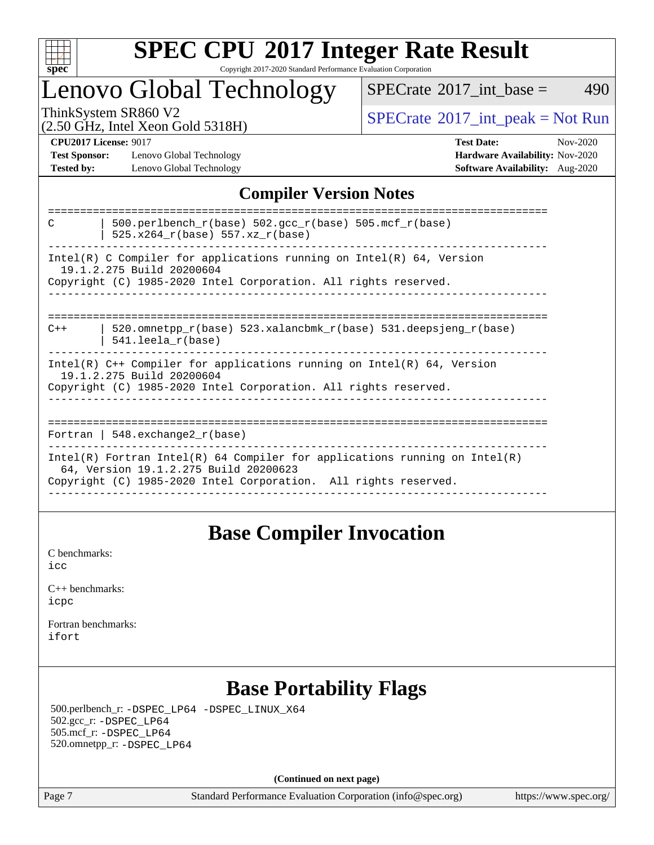

#### **[SPEC CPU](http://www.spec.org/auto/cpu2017/Docs/result-fields.html#SPECCPU2017IntegerRateResult)[2017 Integer Rate Result](http://www.spec.org/auto/cpu2017/Docs/result-fields.html#SPECCPU2017IntegerRateResult)** Copyright 2017-2020 Standard Performance Evaluation Corporation

### Lenovo Global Technology

 $SPECTate$ <sup>®</sup>[2017\\_int\\_base =](http://www.spec.org/auto/cpu2017/Docs/result-fields.html#SPECrate2017intbase) 490

(2.50 GHz, Intel Xeon Gold 5318H)

ThinkSystem SR860 V2<br>  $\begin{array}{c}\n\text{SPECTB} \\
\text{SPECTB} \\
\text{SPECTB} \\
\text{SPECTB} \\
\text{SPECTB} \\
\text{SPECTB} \\
\text{SPECTB} \\
\text{SPECTB} \\
\text{SPECTB} \\
\text{SPECTB} \\
\text{SPECTB} \\
\text{SPECTB} \\
\text{SPECTB} \\
\text{SPECTB} \\
\text{SPECTB} \\
\text{SPECTB} \\
\text{SPECTB} \\
\text{SPECTB} \\
\text{SPECTB} \\
\text{SPECTB} \\
\text{SPECTB} \\
\text{SPECTB} \\
\text{S.} \\
\text{S.} \\$ 

**[Test Sponsor:](http://www.spec.org/auto/cpu2017/Docs/result-fields.html#TestSponsor)** Lenovo Global Technology **[Hardware Availability:](http://www.spec.org/auto/cpu2017/Docs/result-fields.html#HardwareAvailability)** Nov-2020 **[Tested by:](http://www.spec.org/auto/cpu2017/Docs/result-fields.html#Testedby)** Lenovo Global Technology **[Software Availability:](http://www.spec.org/auto/cpu2017/Docs/result-fields.html#SoftwareAvailability)** Aug-2020

**[CPU2017 License:](http://www.spec.org/auto/cpu2017/Docs/result-fields.html#CPU2017License)** 9017 **[Test Date:](http://www.spec.org/auto/cpu2017/Docs/result-fields.html#TestDate)** Nov-2020

### **[Compiler Version Notes](http://www.spec.org/auto/cpu2017/Docs/result-fields.html#CompilerVersionNotes)**

| 500.perlbench $r(base)$ 502.qcc $r(base)$ 505.mcf $r(base)$<br>C<br>525.x264 r(base) 557.xz r(base)                                                                                    |
|----------------------------------------------------------------------------------------------------------------------------------------------------------------------------------------|
| $Intel(R)$ C Compiler for applications running on $Intel(R)$ 64, Version<br>19.1.2.275 Build 20200604<br>Copyright (C) 1985-2020 Intel Corporation. All rights reserved.               |
| 520.omnetpp $r(base)$ 523.xalancbmk $r(base)$ 531.deepsjeng $r(base)$<br>$C++$<br>$541.$ leela r(base)                                                                                 |
| $Intel(R)$ C++ Compiler for applications running on $Intel(R)$ 64, Version<br>19.1.2.275 Build 20200604<br>Copyright (C) 1985-2020 Intel Corporation. All rights reserved.             |
| Fortran   548.exchange2 $r(base)$                                                                                                                                                      |
| Intel(R) Fortran Intel(R) 64 Compiler for applications running on Intel(R)<br>64, Version 19.1.2.275 Build 20200623<br>Copyright (C) 1985-2020 Intel Corporation. All rights reserved. |

### **[Base Compiler Invocation](http://www.spec.org/auto/cpu2017/Docs/result-fields.html#BaseCompilerInvocation)**

[C benchmarks](http://www.spec.org/auto/cpu2017/Docs/result-fields.html#Cbenchmarks): [icc](http://www.spec.org/cpu2017/results/res2020q4/cpu2017-20201123-24462.flags.html#user_CCbase_intel_icc_66fc1ee009f7361af1fbd72ca7dcefbb700085f36577c54f309893dd4ec40d12360134090235512931783d35fd58c0460139e722d5067c5574d8eaf2b3e37e92)

| $C_{++}$ benchmarks: |  |
|----------------------|--|
| icpc                 |  |

[Fortran benchmarks](http://www.spec.org/auto/cpu2017/Docs/result-fields.html#Fortranbenchmarks): [ifort](http://www.spec.org/cpu2017/results/res2020q4/cpu2017-20201123-24462.flags.html#user_FCbase_intel_ifort_8111460550e3ca792625aed983ce982f94888b8b503583aa7ba2b8303487b4d8a21a13e7191a45c5fd58ff318f48f9492884d4413fa793fd88dd292cad7027ca)

### **[Base Portability Flags](http://www.spec.org/auto/cpu2017/Docs/result-fields.html#BasePortabilityFlags)**

 500.perlbench\_r: [-DSPEC\\_LP64](http://www.spec.org/cpu2017/results/res2020q4/cpu2017-20201123-24462.flags.html#b500.perlbench_r_basePORTABILITY_DSPEC_LP64) [-DSPEC\\_LINUX\\_X64](http://www.spec.org/cpu2017/results/res2020q4/cpu2017-20201123-24462.flags.html#b500.perlbench_r_baseCPORTABILITY_DSPEC_LINUX_X64) 502.gcc\_r: [-DSPEC\\_LP64](http://www.spec.org/cpu2017/results/res2020q4/cpu2017-20201123-24462.flags.html#suite_basePORTABILITY502_gcc_r_DSPEC_LP64) 505.mcf\_r: [-DSPEC\\_LP64](http://www.spec.org/cpu2017/results/res2020q4/cpu2017-20201123-24462.flags.html#suite_basePORTABILITY505_mcf_r_DSPEC_LP64) 520.omnetpp\_r: [-DSPEC\\_LP64](http://www.spec.org/cpu2017/results/res2020q4/cpu2017-20201123-24462.flags.html#suite_basePORTABILITY520_omnetpp_r_DSPEC_LP64)

**(Continued on next page)**

Page 7 Standard Performance Evaluation Corporation [\(info@spec.org\)](mailto:info@spec.org) <https://www.spec.org/>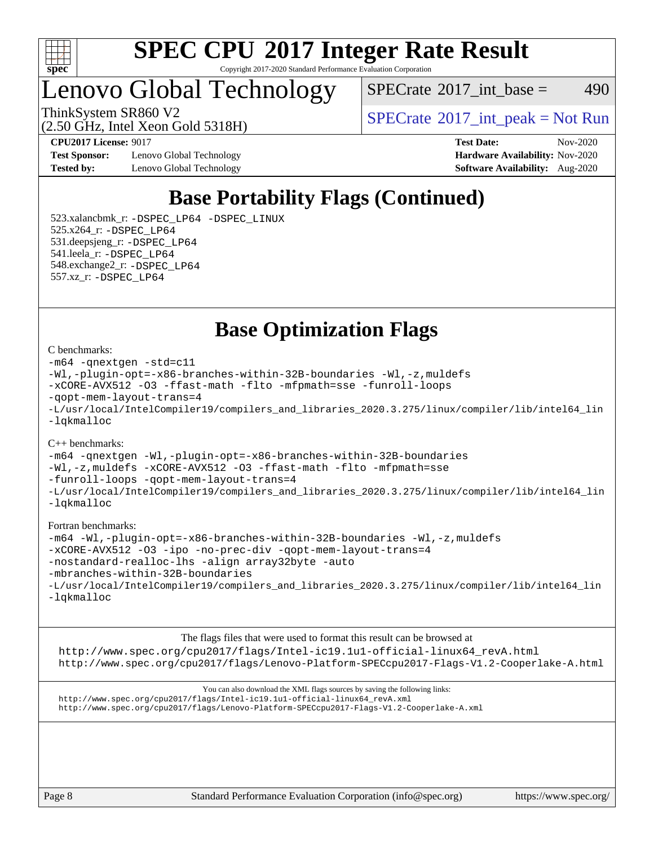

Copyright 2017-2020 Standard Performance Evaluation Corporation

## Lenovo Global Technology

 $SPECTate$ <sup>®</sup>[2017\\_int\\_base =](http://www.spec.org/auto/cpu2017/Docs/result-fields.html#SPECrate2017intbase) 490

(2.50 GHz, Intel Xeon Gold 5318H)

ThinkSystem SR860 V2<br>  $\begin{array}{c} \text{SPECTI}_{\text{S}} \text{SOR} \text{S1} \text{S1} \text{S1} \text{S1} \text{S1} \text{S1} \end{array}$  [SPECrate](http://www.spec.org/auto/cpu2017/Docs/result-fields.html#SPECrate2017intpeak)®[2017\\_int\\_peak = N](http://www.spec.org/auto/cpu2017/Docs/result-fields.html#SPECrate2017intpeak)ot Run

**[Test Sponsor:](http://www.spec.org/auto/cpu2017/Docs/result-fields.html#TestSponsor)** Lenovo Global Technology **[Hardware Availability:](http://www.spec.org/auto/cpu2017/Docs/result-fields.html#HardwareAvailability)** Nov-2020 **[Tested by:](http://www.spec.org/auto/cpu2017/Docs/result-fields.html#Testedby)** Lenovo Global Technology **[Software Availability:](http://www.spec.org/auto/cpu2017/Docs/result-fields.html#SoftwareAvailability)** Aug-2020

**[CPU2017 License:](http://www.spec.org/auto/cpu2017/Docs/result-fields.html#CPU2017License)** 9017 **[Test Date:](http://www.spec.org/auto/cpu2017/Docs/result-fields.html#TestDate)** Nov-2020

### **[Base Portability Flags \(Continued\)](http://www.spec.org/auto/cpu2017/Docs/result-fields.html#BasePortabilityFlags)**

 523.xalancbmk\_r: [-DSPEC\\_LP64](http://www.spec.org/cpu2017/results/res2020q4/cpu2017-20201123-24462.flags.html#suite_basePORTABILITY523_xalancbmk_r_DSPEC_LP64) [-DSPEC\\_LINUX](http://www.spec.org/cpu2017/results/res2020q4/cpu2017-20201123-24462.flags.html#b523.xalancbmk_r_baseCXXPORTABILITY_DSPEC_LINUX) 525.x264\_r: [-DSPEC\\_LP64](http://www.spec.org/cpu2017/results/res2020q4/cpu2017-20201123-24462.flags.html#suite_basePORTABILITY525_x264_r_DSPEC_LP64) 531.deepsjeng\_r: [-DSPEC\\_LP64](http://www.spec.org/cpu2017/results/res2020q4/cpu2017-20201123-24462.flags.html#suite_basePORTABILITY531_deepsjeng_r_DSPEC_LP64) 541.leela\_r: [-DSPEC\\_LP64](http://www.spec.org/cpu2017/results/res2020q4/cpu2017-20201123-24462.flags.html#suite_basePORTABILITY541_leela_r_DSPEC_LP64) 548.exchange2\_r: [-DSPEC\\_LP64](http://www.spec.org/cpu2017/results/res2020q4/cpu2017-20201123-24462.flags.html#suite_basePORTABILITY548_exchange2_r_DSPEC_LP64) 557.xz\_r: [-DSPEC\\_LP64](http://www.spec.org/cpu2017/results/res2020q4/cpu2017-20201123-24462.flags.html#suite_basePORTABILITY557_xz_r_DSPEC_LP64)

**[Base Optimization Flags](http://www.spec.org/auto/cpu2017/Docs/result-fields.html#BaseOptimizationFlags)**

#### [C benchmarks](http://www.spec.org/auto/cpu2017/Docs/result-fields.html#Cbenchmarks):

```
-m64 -qnextgen -std=c11
-Wl,-plugin-opt=-x86-branches-within-32B-boundaries -Wl,-z,muldefs
-xCORE-AVX512 -O3 -ffast-math -flto -mfpmath=sse -funroll-loops
-qopt-mem-layout-trans=4
-L/usr/local/IntelCompiler19/compilers_and_libraries_2020.3.275/linux/compiler/lib/intel64_lin
-lqkmalloc
```
#### [C++ benchmarks](http://www.spec.org/auto/cpu2017/Docs/result-fields.html#CXXbenchmarks):

[-m64](http://www.spec.org/cpu2017/results/res2020q4/cpu2017-20201123-24462.flags.html#user_CXXbase_m64-icc) [-qnextgen](http://www.spec.org/cpu2017/results/res2020q4/cpu2017-20201123-24462.flags.html#user_CXXbase_f-qnextgen) [-Wl,-plugin-opt=-x86-branches-within-32B-boundaries](http://www.spec.org/cpu2017/results/res2020q4/cpu2017-20201123-24462.flags.html#user_CXXbase_f-x86-branches-within-32B-boundaries_0098b4e4317ae60947b7b728078a624952a08ac37a3c797dfb4ffeb399e0c61a9dd0f2f44ce917e9361fb9076ccb15e7824594512dd315205382d84209e912f3) [-Wl,-z,muldefs](http://www.spec.org/cpu2017/results/res2020q4/cpu2017-20201123-24462.flags.html#user_CXXbase_link_force_multiple1_b4cbdb97b34bdee9ceefcfe54f4c8ea74255f0b02a4b23e853cdb0e18eb4525ac79b5a88067c842dd0ee6996c24547a27a4b99331201badda8798ef8a743f577) [-xCORE-AVX512](http://www.spec.org/cpu2017/results/res2020q4/cpu2017-20201123-24462.flags.html#user_CXXbase_f-xCORE-AVX512) [-O3](http://www.spec.org/cpu2017/results/res2020q4/cpu2017-20201123-24462.flags.html#user_CXXbase_f-O3) [-ffast-math](http://www.spec.org/cpu2017/results/res2020q4/cpu2017-20201123-24462.flags.html#user_CXXbase_f-ffast-math) [-flto](http://www.spec.org/cpu2017/results/res2020q4/cpu2017-20201123-24462.flags.html#user_CXXbase_f-flto) [-mfpmath=sse](http://www.spec.org/cpu2017/results/res2020q4/cpu2017-20201123-24462.flags.html#user_CXXbase_f-mfpmath_70eb8fac26bde974f8ab713bc9086c5621c0b8d2f6c86f38af0bd7062540daf19db5f3a066d8c6684be05d84c9b6322eb3b5be6619d967835195b93d6c02afa1) [-funroll-loops](http://www.spec.org/cpu2017/results/res2020q4/cpu2017-20201123-24462.flags.html#user_CXXbase_f-funroll-loops) [-qopt-mem-layout-trans=4](http://www.spec.org/cpu2017/results/res2020q4/cpu2017-20201123-24462.flags.html#user_CXXbase_f-qopt-mem-layout-trans_fa39e755916c150a61361b7846f310bcdf6f04e385ef281cadf3647acec3f0ae266d1a1d22d972a7087a248fd4e6ca390a3634700869573d231a252c784941a8) [-L/usr/local/IntelCompiler19/compilers\\_and\\_libraries\\_2020.3.275/linux/compiler/lib/intel64\\_lin](http://www.spec.org/cpu2017/results/res2020q4/cpu2017-20201123-24462.flags.html#user_CXXbase_linkpath_6eb3b1b8be403820338b5b82e7a1c217a861a8962ac718a6253be1483b50620487664a39a847caf560d84a6b8bab7cca33d9f414525a12ede1e9473db34a3d08) [-lqkmalloc](http://www.spec.org/cpu2017/results/res2020q4/cpu2017-20201123-24462.flags.html#user_CXXbase_qkmalloc_link_lib_79a818439969f771c6bc311cfd333c00fc099dad35c030f5aab9dda831713d2015205805422f83de8875488a2991c0a156aaa600e1f9138f8fc37004abc96dc5)

#### [Fortran benchmarks:](http://www.spec.org/auto/cpu2017/Docs/result-fields.html#Fortranbenchmarks)

```
-m64 -Wl,-plugin-opt=-x86-branches-within-32B-boundaries -Wl,-z,muldefs
-xCORE-AVX512 -O3 -ipo -no-prec-div -qopt-mem-layout-trans=4
-nostandard-realloc-lhs -align array32byte -auto
-mbranches-within-32B-boundaries
-L/usr/local/IntelCompiler19/compilers_and_libraries_2020.3.275/linux/compiler/lib/intel64_lin
-lqkmalloc
```
[The flags files that were used to format this result can be browsed at](tmsearch) [http://www.spec.org/cpu2017/flags/Intel-ic19.1u1-official-linux64\\_revA.html](http://www.spec.org/cpu2017/flags/Intel-ic19.1u1-official-linux64_revA.html) <http://www.spec.org/cpu2017/flags/Lenovo-Platform-SPECcpu2017-Flags-V1.2-Cooperlake-A.html>

[You can also download the XML flags sources by saving the following links:](tmsearch) [http://www.spec.org/cpu2017/flags/Intel-ic19.1u1-official-linux64\\_revA.xml](http://www.spec.org/cpu2017/flags/Intel-ic19.1u1-official-linux64_revA.xml) <http://www.spec.org/cpu2017/flags/Lenovo-Platform-SPECcpu2017-Flags-V1.2-Cooperlake-A.xml>